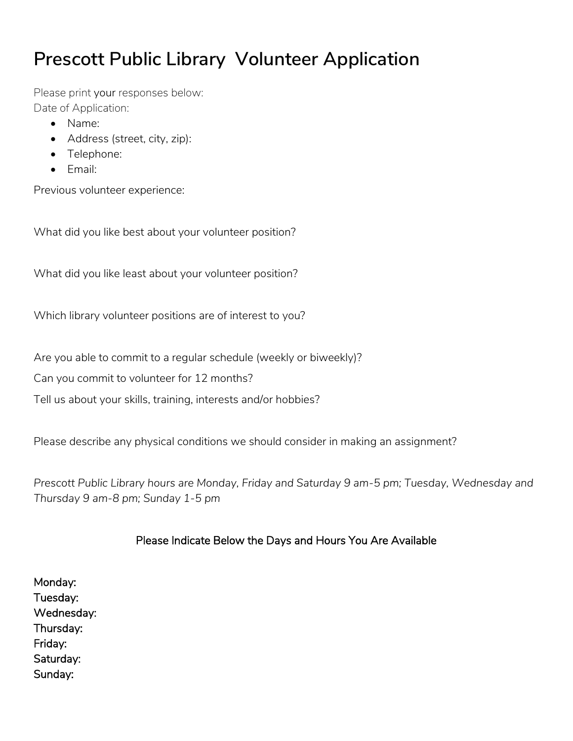# **Prescott Public Library Volunteer Application**

Please print your responses below: Date of Application:

- Name:
- Address (street, city, zip):
- Telephone:
- Email:

Previous volunteer experience:

What did you like best about your volunteer position?

What did you like least about your volunteer position?

Which library volunteer positions are of interest to you?

Are you able to commit to a regular schedule (weekly or biweekly)?

Can you commit to volunteer for 12 months?

Tell us about your skills, training, interests and/or hobbies?

Please describe any physical conditions we should consider in making an assignment?

*Prescott Public Library hours are Monday, Friday and Saturday 9 am-5 pm; Tuesday, Wednesday and Thursday 9 am-8 pm; Sunday 1-5 pm* 

## Please Indicate Below the Days and Hours You Are Available

Monday: Tuesday: Wednesday: Thursday: Friday: Saturday: Sunday: